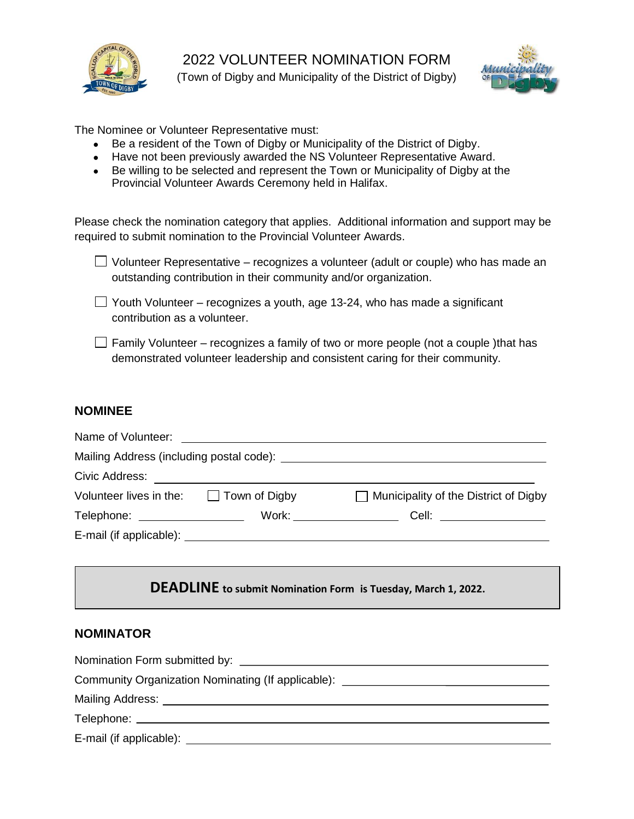



The Nominee or Volunteer Representative must:

- Be a resident of the Town of Digby or Municipality of the District of Digby.
- Have not been previously awarded the NS Volunteer Representative Award.
- Be willing to be selected and represent the Town or Municipality of Digby at the Provincial Volunteer Awards Ceremony held in Halifax.

Please check the nomination category that applies. Additional information and support may be required to submit nomination to the Provincial Volunteer Awards.

| $\Box$ Volunteer Representative – recognizes a volunteer (adult or couple) who has made an |  |
|--------------------------------------------------------------------------------------------|--|
| outstanding contribution in their community and/or organization.                           |  |

 $\Box$  Youth Volunteer – recognizes a youth, age 13-24, who has made a significant contribution as a volunteer.

 $\Box$  Family Volunteer – recognizes a family of two or more people (not a couple) that has demonstrated volunteer leadership and consistent caring for their community.

## **NOMINEE**

| Mailing Address (including postal code): Letter and the state of the state of the state of the state of the state of the state of the state of the state of the state of the state of the state of the state of the state of t |                                                                                                                                                                                                                               |                                                                                                                                                      |  |  |  |
|--------------------------------------------------------------------------------------------------------------------------------------------------------------------------------------------------------------------------------|-------------------------------------------------------------------------------------------------------------------------------------------------------------------------------------------------------------------------------|------------------------------------------------------------------------------------------------------------------------------------------------------|--|--|--|
| Civic Address:                                                                                                                                                                                                                 |                                                                                                                                                                                                                               |                                                                                                                                                      |  |  |  |
| Volunteer lives in the: $\Box$ Town of Digby                                                                                                                                                                                   |                                                                                                                                                                                                                               | $\Box$ Municipality of the District of Digby                                                                                                         |  |  |  |
| Telephone: _________________                                                                                                                                                                                                   |                                                                                                                                                                                                                               | $Work: \begin{tabular}{ c c c c } \hline \quad \quad \quad & \quad \quad \quad & \quad \quad \quad \\ \hline \end{tabular}$<br>Cell: _______________ |  |  |  |
|                                                                                                                                                                                                                                | E-mail (if applicable): Letter and the set of the set of the set of the set of the set of the set of the set of the set of the set of the set of the set of the set of the set of the set of the set of the set of the set of |                                                                                                                                                      |  |  |  |

# **DEADLINE to submit Nomination Form is Tuesday, March 1, 2022.**

#### **NOMINATOR**

| Nomination Form submitted by: Nomination Form submitted by:                                                                                                                                                                    |
|--------------------------------------------------------------------------------------------------------------------------------------------------------------------------------------------------------------------------------|
| Community Organization Nominating (If applicable): _____________________________                                                                                                                                               |
| Mailing Address: Universe and Separate and Separate and Separate and Separate and Separate and Separate and Separate and Separate and Separate and Separate and Separate and Separate and Separate and Separate and Separate a |
|                                                                                                                                                                                                                                |
|                                                                                                                                                                                                                                |